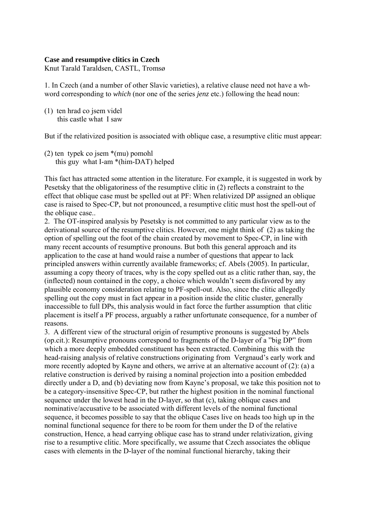## **Case and resumptive clitics in Czech**

Knut Tarald Taraldsen, CASTL, Tromsø

1. In Czech (and a number of other Slavic varieties), a relative clause need not have a whword corresponding to *which* (nor one of the series *jenz* etc.) following the head noun:

(1) ten hrad co jsem videl this castle what I saw

But if the relativized position is associated with oblique case, a resumptive clitic must appear:

(2) ten typek co jsem \*(mu) pomohl this guy what I-am \*(him-DAT) helped

This fact has attracted some attention in the literature. For example, it is suggested in work by Pesetsky that the obligatoriness of the resumptive clitic in (2) reflects a constraint to the effect that oblique case must be spelled out at PF: When relativized DP assigned an oblique case is raised to Spec-CP, but not pronounced, a resumptive clitic must host the spell-out of the oblique case...

2. The OT-inspired analysis by Pesetsky is not committed to any particular view as to the derivational source of the resumptive clitics. However, one might think of (2) as taking the option of spelling out the foot of the chain created by movement to Spec-CP, in line with many recent accounts of resumptive pronouns. But both this general approach and its application to the case at hand would raise a number of questions that appear to lack principled answers within currently available frameworks; cf. Abels (2005). In particular, assuming a copy theory of traces, why is the copy spelled out as a clitic rather than, say, the (inflected) noun contained in the copy, a choice which wouldn't seem disfavored by any plausible economy consideration relating to PF-spell-out. Also, since the clitic allegedly spelling out the copy must in fact appear in a position inside the clitic cluster, generally inaccessible to full DPs, this analysis would in fact force the further assumption that clitic placement is itself a PF process, arguably a rather unfortunate consequence, for a number of reasons.

3. A different view of the structural origin of resumptive pronouns is suggested by Abels (op.cit.): Resumptive pronouns correspond to fragments of the D-layer of a "big DP" from which a more deeply embedded constituent has been extracted. Combining this with the head-raising analysis of relative constructions originating from Vergnaud's early work and more recently adopted by Kayne and others, we arrive at an alternative account of (2): (a) a relative construction is derived by raising a nominal projection into a position embedded directly under a D, and (b) deviating now from Kayne's proposal, we take this position not to be a category-insensitive Spec-CP, but rather the highest position in the nominal functional sequence under the lowest head in the D-layer, so that (c), taking oblique cases and nominative/accusative to be associated with different levels of the nominal functional sequence, it becomes possible to say that the oblique Cases live on heads too high up in the nominal functional sequence for there to be room for them under the D of the relative construction, Hence, a head carrying oblique case has to strand under relativization, giving rise to a resumptive clitic. More specifically, we assume that Czech associates the oblique cases with elements in the D-layer of the nominal functional hierarchy, taking their